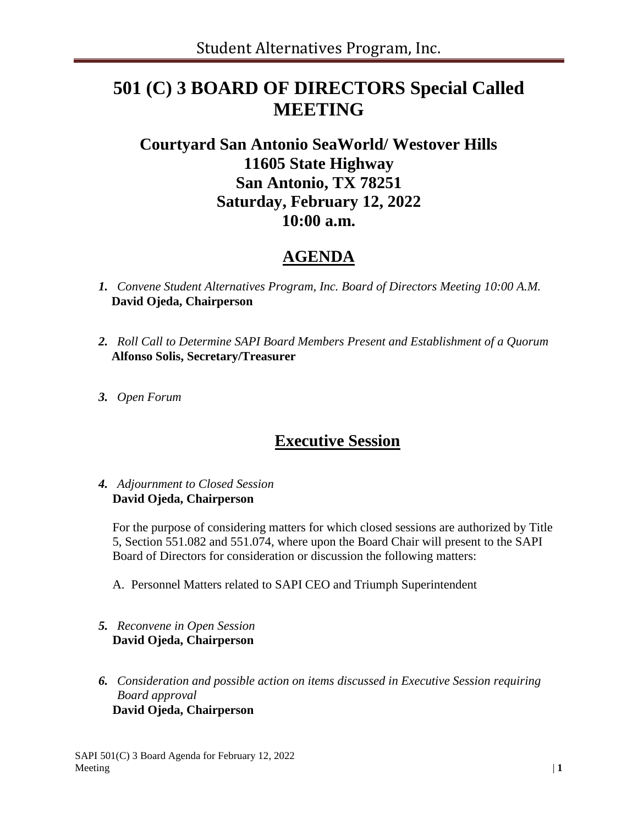# **501 (C) 3 BOARD OF DIRECTORS Special Called MEETING**

## **Courtyard San Antonio SeaWorld/ Westover Hills 11605 State Highway San Antonio, TX 78251 Saturday, February 12, 2022 10:00 a.m.**

### **AGENDA**

- *1. Convene Student Alternatives Program, Inc. Board of Directors Meeting 10:00 A.M.* **David Ojeda, Chairperson**
- *2. Roll Call to Determine SAPI Board Members Present and Establishment of a Quorum*  **Alfonso Solis, Secretary/Treasurer**
- *3. Open Forum*

### **Executive Session**

#### *4. Adjournment to Closed Session* **David Ojeda, Chairperson**

For the purpose of considering matters for which closed sessions are authorized by Title 5, Section 551.082 and 551.074, where upon the Board Chair will present to the SAPI Board of Directors for consideration or discussion the following matters:

- A. Personnel Matters related to SAPI CEO and Triumph Superintendent
- *5. Reconvene in Open Session* **David Ojeda, Chairperson**
- *6. Consideration and possible action on items discussed in Executive Session requiring Board approval* **David Ojeda, Chairperson**